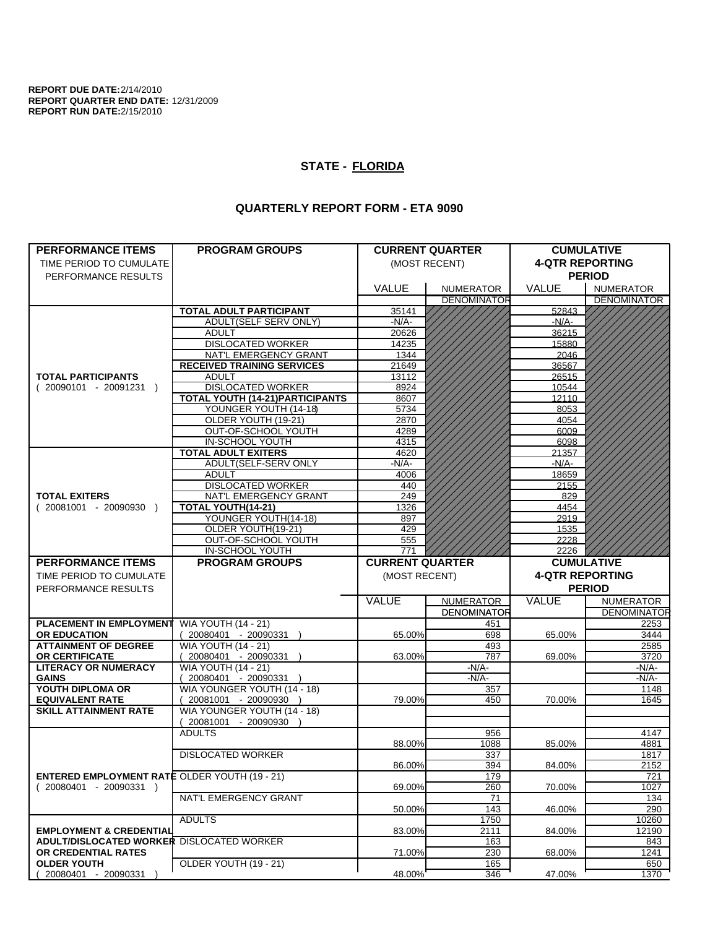**REPORT DUE DATE:**2/14/2010 **REPORT QUARTER END DATE:** 12/31/2009 **REPORT RUN DATE:**2/15/2010

## **STATE - FLORIDA**

## **QUARTERLY REPORT FORM - ETA 9090**

| <b>4-QTR REPORTING</b><br>(MOST RECENT)<br>TIME PERIOD TO CUMULATE<br><b>PERIOD</b><br>PERFORMANCE RESULTS<br><b>VALUE</b><br><b>VALUE</b><br><b>NUMERATOR</b><br><b>NUMERATOR</b><br><b>DENOMINATOR</b><br><b>DENOMINATOR</b><br><b>TOTAL ADULT PARTICIPANT</b><br>35141<br>52843<br>ADULT(SELF SERV ONLY)<br>$-N/A-$<br>$-N/A-$<br><b>ADULT</b><br>20626<br>36215<br><b>DISLOCATED WORKER</b><br>15880<br>14235<br>NAT'L EMERGENCY GRANT<br>1344<br>2046<br><b>RECEIVED TRAINING SERVICES</b><br>21649<br>36567<br>26515<br><b>TOTAL PARTICIPANTS</b><br><b>ADULT</b><br>13112<br><b>DISLOCATED WORKER</b><br>8924<br>$(20090101 - 20091231)$<br>10544<br><b>TOTAL YOUTH (14-21)PARTICIPANTS</b><br>12110<br>8607<br>YOUNGER YOUTH (14-18)<br>8053<br>5734<br>OLDER YOUTH (19-21)<br>2870<br>4054<br>OUT-OF-SCHOOL YOUTH<br>6009<br>4289<br>IN-SCHOOL YOUTH<br>4315<br>6098<br><b>TOTAL ADULT EXITERS</b><br>4620<br>21357<br>ADULT(SELF-SERV ONLY<br>$-N/A$ -<br>-N/A-<br><b>ADULT</b><br>4006<br>18659<br><b>DISLOCATED WORKER</b><br>440<br>2155<br><b>TOTAL EXITERS</b><br>NAT'L EMERGENCY GRANT<br>249<br>829<br>TOTAL YOUTH(14-21)<br>$(20081001 - 20090930)$<br>1326<br>4454<br>YOUNGER YOUTH(14-18)<br>897<br>2919<br>OLDER YOUTH(19-21)<br>429<br>1535<br>OUT-OF-SCHOOL YOUTH<br>2228<br>555<br>IN-SCHOOL YOUTH<br>771<br>2226<br><b>PROGRAM GROUPS</b><br><b>CURRENT QUARTER</b><br><b>PERFORMANCE ITEMS</b><br><b>CUMULATIVE</b><br><b>4-QTR REPORTING</b><br>TIME PERIOD TO CUMULATE<br>(MOST RECENT)<br><b>PERIOD</b><br>PERFORMANCE RESULTS<br>VALUE<br>VALUE<br><b>NUMERATOR</b><br><b>NUMERATOR</b><br><b>DENOMINATOR</b><br><b>WIA YOUTH (14 - 21)</b><br><b>PLACEMENT IN EMPLOYMENT</b><br>451<br>2253<br>698<br>3444<br><b>OR EDUCATION</b><br>20080401 - 20090331<br>65.00%<br>65.00%<br><b>WIA YOUTH (14 - 21)</b><br><b>ATTAINMENT OF DEGREE</b><br>493<br>2585<br>787<br>OR CERTIFICATE<br>20080401 - 20090331 )<br>63.00%<br>69.00%<br>3720<br><b>LITERACY OR NUMERACY</b><br><b>WIA YOUTH (14 - 21)</b><br>-N/A-<br>-N/A-<br><b>GAINS</b><br>20080401 - 20090331 )<br>$-N/A$ -<br>-N/A-<br>WIA YOUNGER YOUTH (14 - 18)<br>YOUTH DIPLOMA OR<br>357<br>1148<br>450<br>1645<br><b>EQUIVALENT RATE</b><br>20081001 - 20090930 )<br>79.00%<br>70.00%<br><b>SKILL ATTAINMENT RATE</b><br>WIA YOUNGER YOUTH (14 - 18)<br>(20081001 - 20090930<br><b>ADULTS</b><br>956<br>4147<br>88.00%<br>1088<br>85.00%<br>4881<br><b>DISLOCATED WORKER</b><br>337<br>1817<br>86.00%<br>394<br>84.00%<br>2152<br><b>ENTERED EMPLOYMENT RATE OLDER YOUTH (19 - 21)</b><br>179<br>721<br>$(20080401 - 20090331)$<br>260<br>69.00%<br>70.00%<br>1027<br>NAT'L EMERGENCY GRANT<br>71<br>134<br>50.00%<br>143<br>46.00%<br>290<br>1750<br><b>ADULTS</b><br>10260<br>2111<br><b>EMPLOYMENT &amp; CREDENTIAL</b><br>83.00%<br>84.00%<br>12190<br><b>ADULT/DISLOCATED WORKER DISLOCATED WORKER</b><br>163<br>843<br>230<br>OR CREDENTIAL RATES<br>1241<br>71.00%<br>68.00%<br><b>OLDER YOUTH</b><br>OLDER YOUTH (19 - 21)<br>165<br>650<br>48.00%<br>346<br>47.00%<br>1370<br>20080401 - 20090331 | <b>PERFORMANCE ITEMS</b> | <b>PROGRAM GROUPS</b> |  | <b>CURRENT QUARTER</b> | <b>CUMULATIVE</b> |  |
|-------------------------------------------------------------------------------------------------------------------------------------------------------------------------------------------------------------------------------------------------------------------------------------------------------------------------------------------------------------------------------------------------------------------------------------------------------------------------------------------------------------------------------------------------------------------------------------------------------------------------------------------------------------------------------------------------------------------------------------------------------------------------------------------------------------------------------------------------------------------------------------------------------------------------------------------------------------------------------------------------------------------------------------------------------------------------------------------------------------------------------------------------------------------------------------------------------------------------------------------------------------------------------------------------------------------------------------------------------------------------------------------------------------------------------------------------------------------------------------------------------------------------------------------------------------------------------------------------------------------------------------------------------------------------------------------------------------------------------------------------------------------------------------------------------------------------------------------------------------------------------------------------------------------------------------------------------------------------------------------------------------------------------------------------------------------------------------------------------------------------------------------------------------------------------------------------------------------------------------------------------------------------------------------------------------------------------------------------------------------------------------------------------------------------------------------------------------------------------------------------------------------------------------------------------------------------------------------------------------------------------------------------------------------------------------------------------------------------------------------------------------------------------------------------------------------------------------------------------------------------------------------------------------------------------------------------------------------------------------------------------------------------------------------------------------------------------------------------|--------------------------|-----------------------|--|------------------------|-------------------|--|
|                                                                                                                                                                                                                                                                                                                                                                                                                                                                                                                                                                                                                                                                                                                                                                                                                                                                                                                                                                                                                                                                                                                                                                                                                                                                                                                                                                                                                                                                                                                                                                                                                                                                                                                                                                                                                                                                                                                                                                                                                                                                                                                                                                                                                                                                                                                                                                                                                                                                                                                                                                                                                                                                                                                                                                                                                                                                                                                                                                                                                                                                                                 |                          |                       |  |                        |                   |  |
|                                                                                                                                                                                                                                                                                                                                                                                                                                                                                                                                                                                                                                                                                                                                                                                                                                                                                                                                                                                                                                                                                                                                                                                                                                                                                                                                                                                                                                                                                                                                                                                                                                                                                                                                                                                                                                                                                                                                                                                                                                                                                                                                                                                                                                                                                                                                                                                                                                                                                                                                                                                                                                                                                                                                                                                                                                                                                                                                                                                                                                                                                                 |                          |                       |  |                        |                   |  |
|                                                                                                                                                                                                                                                                                                                                                                                                                                                                                                                                                                                                                                                                                                                                                                                                                                                                                                                                                                                                                                                                                                                                                                                                                                                                                                                                                                                                                                                                                                                                                                                                                                                                                                                                                                                                                                                                                                                                                                                                                                                                                                                                                                                                                                                                                                                                                                                                                                                                                                                                                                                                                                                                                                                                                                                                                                                                                                                                                                                                                                                                                                 |                          |                       |  |                        |                   |  |
|                                                                                                                                                                                                                                                                                                                                                                                                                                                                                                                                                                                                                                                                                                                                                                                                                                                                                                                                                                                                                                                                                                                                                                                                                                                                                                                                                                                                                                                                                                                                                                                                                                                                                                                                                                                                                                                                                                                                                                                                                                                                                                                                                                                                                                                                                                                                                                                                                                                                                                                                                                                                                                                                                                                                                                                                                                                                                                                                                                                                                                                                                                 |                          |                       |  |                        |                   |  |
| <b>DENOMINATOR</b>                                                                                                                                                                                                                                                                                                                                                                                                                                                                                                                                                                                                                                                                                                                                                                                                                                                                                                                                                                                                                                                                                                                                                                                                                                                                                                                                                                                                                                                                                                                                                                                                                                                                                                                                                                                                                                                                                                                                                                                                                                                                                                                                                                                                                                                                                                                                                                                                                                                                                                                                                                                                                                                                                                                                                                                                                                                                                                                                                                                                                                                                              |                          |                       |  |                        |                   |  |
|                                                                                                                                                                                                                                                                                                                                                                                                                                                                                                                                                                                                                                                                                                                                                                                                                                                                                                                                                                                                                                                                                                                                                                                                                                                                                                                                                                                                                                                                                                                                                                                                                                                                                                                                                                                                                                                                                                                                                                                                                                                                                                                                                                                                                                                                                                                                                                                                                                                                                                                                                                                                                                                                                                                                                                                                                                                                                                                                                                                                                                                                                                 |                          |                       |  |                        |                   |  |
|                                                                                                                                                                                                                                                                                                                                                                                                                                                                                                                                                                                                                                                                                                                                                                                                                                                                                                                                                                                                                                                                                                                                                                                                                                                                                                                                                                                                                                                                                                                                                                                                                                                                                                                                                                                                                                                                                                                                                                                                                                                                                                                                                                                                                                                                                                                                                                                                                                                                                                                                                                                                                                                                                                                                                                                                                                                                                                                                                                                                                                                                                                 |                          |                       |  |                        |                   |  |
|                                                                                                                                                                                                                                                                                                                                                                                                                                                                                                                                                                                                                                                                                                                                                                                                                                                                                                                                                                                                                                                                                                                                                                                                                                                                                                                                                                                                                                                                                                                                                                                                                                                                                                                                                                                                                                                                                                                                                                                                                                                                                                                                                                                                                                                                                                                                                                                                                                                                                                                                                                                                                                                                                                                                                                                                                                                                                                                                                                                                                                                                                                 |                          |                       |  |                        |                   |  |
|                                                                                                                                                                                                                                                                                                                                                                                                                                                                                                                                                                                                                                                                                                                                                                                                                                                                                                                                                                                                                                                                                                                                                                                                                                                                                                                                                                                                                                                                                                                                                                                                                                                                                                                                                                                                                                                                                                                                                                                                                                                                                                                                                                                                                                                                                                                                                                                                                                                                                                                                                                                                                                                                                                                                                                                                                                                                                                                                                                                                                                                                                                 |                          |                       |  |                        |                   |  |
|                                                                                                                                                                                                                                                                                                                                                                                                                                                                                                                                                                                                                                                                                                                                                                                                                                                                                                                                                                                                                                                                                                                                                                                                                                                                                                                                                                                                                                                                                                                                                                                                                                                                                                                                                                                                                                                                                                                                                                                                                                                                                                                                                                                                                                                                                                                                                                                                                                                                                                                                                                                                                                                                                                                                                                                                                                                                                                                                                                                                                                                                                                 |                          |                       |  |                        |                   |  |
|                                                                                                                                                                                                                                                                                                                                                                                                                                                                                                                                                                                                                                                                                                                                                                                                                                                                                                                                                                                                                                                                                                                                                                                                                                                                                                                                                                                                                                                                                                                                                                                                                                                                                                                                                                                                                                                                                                                                                                                                                                                                                                                                                                                                                                                                                                                                                                                                                                                                                                                                                                                                                                                                                                                                                                                                                                                                                                                                                                                                                                                                                                 |                          |                       |  |                        |                   |  |
|                                                                                                                                                                                                                                                                                                                                                                                                                                                                                                                                                                                                                                                                                                                                                                                                                                                                                                                                                                                                                                                                                                                                                                                                                                                                                                                                                                                                                                                                                                                                                                                                                                                                                                                                                                                                                                                                                                                                                                                                                                                                                                                                                                                                                                                                                                                                                                                                                                                                                                                                                                                                                                                                                                                                                                                                                                                                                                                                                                                                                                                                                                 |                          |                       |  |                        |                   |  |
|                                                                                                                                                                                                                                                                                                                                                                                                                                                                                                                                                                                                                                                                                                                                                                                                                                                                                                                                                                                                                                                                                                                                                                                                                                                                                                                                                                                                                                                                                                                                                                                                                                                                                                                                                                                                                                                                                                                                                                                                                                                                                                                                                                                                                                                                                                                                                                                                                                                                                                                                                                                                                                                                                                                                                                                                                                                                                                                                                                                                                                                                                                 |                          |                       |  |                        |                   |  |
|                                                                                                                                                                                                                                                                                                                                                                                                                                                                                                                                                                                                                                                                                                                                                                                                                                                                                                                                                                                                                                                                                                                                                                                                                                                                                                                                                                                                                                                                                                                                                                                                                                                                                                                                                                                                                                                                                                                                                                                                                                                                                                                                                                                                                                                                                                                                                                                                                                                                                                                                                                                                                                                                                                                                                                                                                                                                                                                                                                                                                                                                                                 |                          |                       |  |                        |                   |  |
|                                                                                                                                                                                                                                                                                                                                                                                                                                                                                                                                                                                                                                                                                                                                                                                                                                                                                                                                                                                                                                                                                                                                                                                                                                                                                                                                                                                                                                                                                                                                                                                                                                                                                                                                                                                                                                                                                                                                                                                                                                                                                                                                                                                                                                                                                                                                                                                                                                                                                                                                                                                                                                                                                                                                                                                                                                                                                                                                                                                                                                                                                                 |                          |                       |  |                        |                   |  |
|                                                                                                                                                                                                                                                                                                                                                                                                                                                                                                                                                                                                                                                                                                                                                                                                                                                                                                                                                                                                                                                                                                                                                                                                                                                                                                                                                                                                                                                                                                                                                                                                                                                                                                                                                                                                                                                                                                                                                                                                                                                                                                                                                                                                                                                                                                                                                                                                                                                                                                                                                                                                                                                                                                                                                                                                                                                                                                                                                                                                                                                                                                 |                          |                       |  |                        |                   |  |
|                                                                                                                                                                                                                                                                                                                                                                                                                                                                                                                                                                                                                                                                                                                                                                                                                                                                                                                                                                                                                                                                                                                                                                                                                                                                                                                                                                                                                                                                                                                                                                                                                                                                                                                                                                                                                                                                                                                                                                                                                                                                                                                                                                                                                                                                                                                                                                                                                                                                                                                                                                                                                                                                                                                                                                                                                                                                                                                                                                                                                                                                                                 |                          |                       |  |                        |                   |  |
|                                                                                                                                                                                                                                                                                                                                                                                                                                                                                                                                                                                                                                                                                                                                                                                                                                                                                                                                                                                                                                                                                                                                                                                                                                                                                                                                                                                                                                                                                                                                                                                                                                                                                                                                                                                                                                                                                                                                                                                                                                                                                                                                                                                                                                                                                                                                                                                                                                                                                                                                                                                                                                                                                                                                                                                                                                                                                                                                                                                                                                                                                                 |                          |                       |  |                        |                   |  |
|                                                                                                                                                                                                                                                                                                                                                                                                                                                                                                                                                                                                                                                                                                                                                                                                                                                                                                                                                                                                                                                                                                                                                                                                                                                                                                                                                                                                                                                                                                                                                                                                                                                                                                                                                                                                                                                                                                                                                                                                                                                                                                                                                                                                                                                                                                                                                                                                                                                                                                                                                                                                                                                                                                                                                                                                                                                                                                                                                                                                                                                                                                 |                          |                       |  |                        |                   |  |
|                                                                                                                                                                                                                                                                                                                                                                                                                                                                                                                                                                                                                                                                                                                                                                                                                                                                                                                                                                                                                                                                                                                                                                                                                                                                                                                                                                                                                                                                                                                                                                                                                                                                                                                                                                                                                                                                                                                                                                                                                                                                                                                                                                                                                                                                                                                                                                                                                                                                                                                                                                                                                                                                                                                                                                                                                                                                                                                                                                                                                                                                                                 |                          |                       |  |                        |                   |  |
|                                                                                                                                                                                                                                                                                                                                                                                                                                                                                                                                                                                                                                                                                                                                                                                                                                                                                                                                                                                                                                                                                                                                                                                                                                                                                                                                                                                                                                                                                                                                                                                                                                                                                                                                                                                                                                                                                                                                                                                                                                                                                                                                                                                                                                                                                                                                                                                                                                                                                                                                                                                                                                                                                                                                                                                                                                                                                                                                                                                                                                                                                                 |                          |                       |  |                        |                   |  |
|                                                                                                                                                                                                                                                                                                                                                                                                                                                                                                                                                                                                                                                                                                                                                                                                                                                                                                                                                                                                                                                                                                                                                                                                                                                                                                                                                                                                                                                                                                                                                                                                                                                                                                                                                                                                                                                                                                                                                                                                                                                                                                                                                                                                                                                                                                                                                                                                                                                                                                                                                                                                                                                                                                                                                                                                                                                                                                                                                                                                                                                                                                 |                          |                       |  |                        |                   |  |
|                                                                                                                                                                                                                                                                                                                                                                                                                                                                                                                                                                                                                                                                                                                                                                                                                                                                                                                                                                                                                                                                                                                                                                                                                                                                                                                                                                                                                                                                                                                                                                                                                                                                                                                                                                                                                                                                                                                                                                                                                                                                                                                                                                                                                                                                                                                                                                                                                                                                                                                                                                                                                                                                                                                                                                                                                                                                                                                                                                                                                                                                                                 |                          |                       |  |                        |                   |  |
|                                                                                                                                                                                                                                                                                                                                                                                                                                                                                                                                                                                                                                                                                                                                                                                                                                                                                                                                                                                                                                                                                                                                                                                                                                                                                                                                                                                                                                                                                                                                                                                                                                                                                                                                                                                                                                                                                                                                                                                                                                                                                                                                                                                                                                                                                                                                                                                                                                                                                                                                                                                                                                                                                                                                                                                                                                                                                                                                                                                                                                                                                                 |                          |                       |  |                        |                   |  |
|                                                                                                                                                                                                                                                                                                                                                                                                                                                                                                                                                                                                                                                                                                                                                                                                                                                                                                                                                                                                                                                                                                                                                                                                                                                                                                                                                                                                                                                                                                                                                                                                                                                                                                                                                                                                                                                                                                                                                                                                                                                                                                                                                                                                                                                                                                                                                                                                                                                                                                                                                                                                                                                                                                                                                                                                                                                                                                                                                                                                                                                                                                 |                          |                       |  |                        |                   |  |
|                                                                                                                                                                                                                                                                                                                                                                                                                                                                                                                                                                                                                                                                                                                                                                                                                                                                                                                                                                                                                                                                                                                                                                                                                                                                                                                                                                                                                                                                                                                                                                                                                                                                                                                                                                                                                                                                                                                                                                                                                                                                                                                                                                                                                                                                                                                                                                                                                                                                                                                                                                                                                                                                                                                                                                                                                                                                                                                                                                                                                                                                                                 |                          |                       |  |                        |                   |  |
|                                                                                                                                                                                                                                                                                                                                                                                                                                                                                                                                                                                                                                                                                                                                                                                                                                                                                                                                                                                                                                                                                                                                                                                                                                                                                                                                                                                                                                                                                                                                                                                                                                                                                                                                                                                                                                                                                                                                                                                                                                                                                                                                                                                                                                                                                                                                                                                                                                                                                                                                                                                                                                                                                                                                                                                                                                                                                                                                                                                                                                                                                                 |                          |                       |  |                        |                   |  |
|                                                                                                                                                                                                                                                                                                                                                                                                                                                                                                                                                                                                                                                                                                                                                                                                                                                                                                                                                                                                                                                                                                                                                                                                                                                                                                                                                                                                                                                                                                                                                                                                                                                                                                                                                                                                                                                                                                                                                                                                                                                                                                                                                                                                                                                                                                                                                                                                                                                                                                                                                                                                                                                                                                                                                                                                                                                                                                                                                                                                                                                                                                 |                          |                       |  |                        |                   |  |
|                                                                                                                                                                                                                                                                                                                                                                                                                                                                                                                                                                                                                                                                                                                                                                                                                                                                                                                                                                                                                                                                                                                                                                                                                                                                                                                                                                                                                                                                                                                                                                                                                                                                                                                                                                                                                                                                                                                                                                                                                                                                                                                                                                                                                                                                                                                                                                                                                                                                                                                                                                                                                                                                                                                                                                                                                                                                                                                                                                                                                                                                                                 |                          |                       |  |                        |                   |  |
|                                                                                                                                                                                                                                                                                                                                                                                                                                                                                                                                                                                                                                                                                                                                                                                                                                                                                                                                                                                                                                                                                                                                                                                                                                                                                                                                                                                                                                                                                                                                                                                                                                                                                                                                                                                                                                                                                                                                                                                                                                                                                                                                                                                                                                                                                                                                                                                                                                                                                                                                                                                                                                                                                                                                                                                                                                                                                                                                                                                                                                                                                                 |                          |                       |  |                        |                   |  |
|                                                                                                                                                                                                                                                                                                                                                                                                                                                                                                                                                                                                                                                                                                                                                                                                                                                                                                                                                                                                                                                                                                                                                                                                                                                                                                                                                                                                                                                                                                                                                                                                                                                                                                                                                                                                                                                                                                                                                                                                                                                                                                                                                                                                                                                                                                                                                                                                                                                                                                                                                                                                                                                                                                                                                                                                                                                                                                                                                                                                                                                                                                 |                          |                       |  |                        |                   |  |
|                                                                                                                                                                                                                                                                                                                                                                                                                                                                                                                                                                                                                                                                                                                                                                                                                                                                                                                                                                                                                                                                                                                                                                                                                                                                                                                                                                                                                                                                                                                                                                                                                                                                                                                                                                                                                                                                                                                                                                                                                                                                                                                                                                                                                                                                                                                                                                                                                                                                                                                                                                                                                                                                                                                                                                                                                                                                                                                                                                                                                                                                                                 |                          |                       |  |                        |                   |  |
|                                                                                                                                                                                                                                                                                                                                                                                                                                                                                                                                                                                                                                                                                                                                                                                                                                                                                                                                                                                                                                                                                                                                                                                                                                                                                                                                                                                                                                                                                                                                                                                                                                                                                                                                                                                                                                                                                                                                                                                                                                                                                                                                                                                                                                                                                                                                                                                                                                                                                                                                                                                                                                                                                                                                                                                                                                                                                                                                                                                                                                                                                                 |                          |                       |  |                        |                   |  |
|                                                                                                                                                                                                                                                                                                                                                                                                                                                                                                                                                                                                                                                                                                                                                                                                                                                                                                                                                                                                                                                                                                                                                                                                                                                                                                                                                                                                                                                                                                                                                                                                                                                                                                                                                                                                                                                                                                                                                                                                                                                                                                                                                                                                                                                                                                                                                                                                                                                                                                                                                                                                                                                                                                                                                                                                                                                                                                                                                                                                                                                                                                 |                          |                       |  |                        |                   |  |
|                                                                                                                                                                                                                                                                                                                                                                                                                                                                                                                                                                                                                                                                                                                                                                                                                                                                                                                                                                                                                                                                                                                                                                                                                                                                                                                                                                                                                                                                                                                                                                                                                                                                                                                                                                                                                                                                                                                                                                                                                                                                                                                                                                                                                                                                                                                                                                                                                                                                                                                                                                                                                                                                                                                                                                                                                                                                                                                                                                                                                                                                                                 |                          |                       |  |                        |                   |  |
|                                                                                                                                                                                                                                                                                                                                                                                                                                                                                                                                                                                                                                                                                                                                                                                                                                                                                                                                                                                                                                                                                                                                                                                                                                                                                                                                                                                                                                                                                                                                                                                                                                                                                                                                                                                                                                                                                                                                                                                                                                                                                                                                                                                                                                                                                                                                                                                                                                                                                                                                                                                                                                                                                                                                                                                                                                                                                                                                                                                                                                                                                                 |                          |                       |  |                        |                   |  |
|                                                                                                                                                                                                                                                                                                                                                                                                                                                                                                                                                                                                                                                                                                                                                                                                                                                                                                                                                                                                                                                                                                                                                                                                                                                                                                                                                                                                                                                                                                                                                                                                                                                                                                                                                                                                                                                                                                                                                                                                                                                                                                                                                                                                                                                                                                                                                                                                                                                                                                                                                                                                                                                                                                                                                                                                                                                                                                                                                                                                                                                                                                 |                          |                       |  |                        |                   |  |
|                                                                                                                                                                                                                                                                                                                                                                                                                                                                                                                                                                                                                                                                                                                                                                                                                                                                                                                                                                                                                                                                                                                                                                                                                                                                                                                                                                                                                                                                                                                                                                                                                                                                                                                                                                                                                                                                                                                                                                                                                                                                                                                                                                                                                                                                                                                                                                                                                                                                                                                                                                                                                                                                                                                                                                                                                                                                                                                                                                                                                                                                                                 |                          |                       |  |                        |                   |  |
|                                                                                                                                                                                                                                                                                                                                                                                                                                                                                                                                                                                                                                                                                                                                                                                                                                                                                                                                                                                                                                                                                                                                                                                                                                                                                                                                                                                                                                                                                                                                                                                                                                                                                                                                                                                                                                                                                                                                                                                                                                                                                                                                                                                                                                                                                                                                                                                                                                                                                                                                                                                                                                                                                                                                                                                                                                                                                                                                                                                                                                                                                                 |                          |                       |  |                        |                   |  |
|                                                                                                                                                                                                                                                                                                                                                                                                                                                                                                                                                                                                                                                                                                                                                                                                                                                                                                                                                                                                                                                                                                                                                                                                                                                                                                                                                                                                                                                                                                                                                                                                                                                                                                                                                                                                                                                                                                                                                                                                                                                                                                                                                                                                                                                                                                                                                                                                                                                                                                                                                                                                                                                                                                                                                                                                                                                                                                                                                                                                                                                                                                 |                          |                       |  |                        |                   |  |
|                                                                                                                                                                                                                                                                                                                                                                                                                                                                                                                                                                                                                                                                                                                                                                                                                                                                                                                                                                                                                                                                                                                                                                                                                                                                                                                                                                                                                                                                                                                                                                                                                                                                                                                                                                                                                                                                                                                                                                                                                                                                                                                                                                                                                                                                                                                                                                                                                                                                                                                                                                                                                                                                                                                                                                                                                                                                                                                                                                                                                                                                                                 |                          |                       |  |                        |                   |  |
|                                                                                                                                                                                                                                                                                                                                                                                                                                                                                                                                                                                                                                                                                                                                                                                                                                                                                                                                                                                                                                                                                                                                                                                                                                                                                                                                                                                                                                                                                                                                                                                                                                                                                                                                                                                                                                                                                                                                                                                                                                                                                                                                                                                                                                                                                                                                                                                                                                                                                                                                                                                                                                                                                                                                                                                                                                                                                                                                                                                                                                                                                                 |                          |                       |  |                        |                   |  |
|                                                                                                                                                                                                                                                                                                                                                                                                                                                                                                                                                                                                                                                                                                                                                                                                                                                                                                                                                                                                                                                                                                                                                                                                                                                                                                                                                                                                                                                                                                                                                                                                                                                                                                                                                                                                                                                                                                                                                                                                                                                                                                                                                                                                                                                                                                                                                                                                                                                                                                                                                                                                                                                                                                                                                                                                                                                                                                                                                                                                                                                                                                 |                          |                       |  |                        |                   |  |
|                                                                                                                                                                                                                                                                                                                                                                                                                                                                                                                                                                                                                                                                                                                                                                                                                                                                                                                                                                                                                                                                                                                                                                                                                                                                                                                                                                                                                                                                                                                                                                                                                                                                                                                                                                                                                                                                                                                                                                                                                                                                                                                                                                                                                                                                                                                                                                                                                                                                                                                                                                                                                                                                                                                                                                                                                                                                                                                                                                                                                                                                                                 |                          |                       |  |                        |                   |  |
|                                                                                                                                                                                                                                                                                                                                                                                                                                                                                                                                                                                                                                                                                                                                                                                                                                                                                                                                                                                                                                                                                                                                                                                                                                                                                                                                                                                                                                                                                                                                                                                                                                                                                                                                                                                                                                                                                                                                                                                                                                                                                                                                                                                                                                                                                                                                                                                                                                                                                                                                                                                                                                                                                                                                                                                                                                                                                                                                                                                                                                                                                                 |                          |                       |  |                        |                   |  |
|                                                                                                                                                                                                                                                                                                                                                                                                                                                                                                                                                                                                                                                                                                                                                                                                                                                                                                                                                                                                                                                                                                                                                                                                                                                                                                                                                                                                                                                                                                                                                                                                                                                                                                                                                                                                                                                                                                                                                                                                                                                                                                                                                                                                                                                                                                                                                                                                                                                                                                                                                                                                                                                                                                                                                                                                                                                                                                                                                                                                                                                                                                 |                          |                       |  |                        |                   |  |
|                                                                                                                                                                                                                                                                                                                                                                                                                                                                                                                                                                                                                                                                                                                                                                                                                                                                                                                                                                                                                                                                                                                                                                                                                                                                                                                                                                                                                                                                                                                                                                                                                                                                                                                                                                                                                                                                                                                                                                                                                                                                                                                                                                                                                                                                                                                                                                                                                                                                                                                                                                                                                                                                                                                                                                                                                                                                                                                                                                                                                                                                                                 |                          |                       |  |                        |                   |  |
|                                                                                                                                                                                                                                                                                                                                                                                                                                                                                                                                                                                                                                                                                                                                                                                                                                                                                                                                                                                                                                                                                                                                                                                                                                                                                                                                                                                                                                                                                                                                                                                                                                                                                                                                                                                                                                                                                                                                                                                                                                                                                                                                                                                                                                                                                                                                                                                                                                                                                                                                                                                                                                                                                                                                                                                                                                                                                                                                                                                                                                                                                                 |                          |                       |  |                        |                   |  |
|                                                                                                                                                                                                                                                                                                                                                                                                                                                                                                                                                                                                                                                                                                                                                                                                                                                                                                                                                                                                                                                                                                                                                                                                                                                                                                                                                                                                                                                                                                                                                                                                                                                                                                                                                                                                                                                                                                                                                                                                                                                                                                                                                                                                                                                                                                                                                                                                                                                                                                                                                                                                                                                                                                                                                                                                                                                                                                                                                                                                                                                                                                 |                          |                       |  |                        |                   |  |
|                                                                                                                                                                                                                                                                                                                                                                                                                                                                                                                                                                                                                                                                                                                                                                                                                                                                                                                                                                                                                                                                                                                                                                                                                                                                                                                                                                                                                                                                                                                                                                                                                                                                                                                                                                                                                                                                                                                                                                                                                                                                                                                                                                                                                                                                                                                                                                                                                                                                                                                                                                                                                                                                                                                                                                                                                                                                                                                                                                                                                                                                                                 |                          |                       |  |                        |                   |  |
|                                                                                                                                                                                                                                                                                                                                                                                                                                                                                                                                                                                                                                                                                                                                                                                                                                                                                                                                                                                                                                                                                                                                                                                                                                                                                                                                                                                                                                                                                                                                                                                                                                                                                                                                                                                                                                                                                                                                                                                                                                                                                                                                                                                                                                                                                                                                                                                                                                                                                                                                                                                                                                                                                                                                                                                                                                                                                                                                                                                                                                                                                                 |                          |                       |  |                        |                   |  |
|                                                                                                                                                                                                                                                                                                                                                                                                                                                                                                                                                                                                                                                                                                                                                                                                                                                                                                                                                                                                                                                                                                                                                                                                                                                                                                                                                                                                                                                                                                                                                                                                                                                                                                                                                                                                                                                                                                                                                                                                                                                                                                                                                                                                                                                                                                                                                                                                                                                                                                                                                                                                                                                                                                                                                                                                                                                                                                                                                                                                                                                                                                 |                          |                       |  |                        |                   |  |
|                                                                                                                                                                                                                                                                                                                                                                                                                                                                                                                                                                                                                                                                                                                                                                                                                                                                                                                                                                                                                                                                                                                                                                                                                                                                                                                                                                                                                                                                                                                                                                                                                                                                                                                                                                                                                                                                                                                                                                                                                                                                                                                                                                                                                                                                                                                                                                                                                                                                                                                                                                                                                                                                                                                                                                                                                                                                                                                                                                                                                                                                                                 |                          |                       |  |                        |                   |  |
|                                                                                                                                                                                                                                                                                                                                                                                                                                                                                                                                                                                                                                                                                                                                                                                                                                                                                                                                                                                                                                                                                                                                                                                                                                                                                                                                                                                                                                                                                                                                                                                                                                                                                                                                                                                                                                                                                                                                                                                                                                                                                                                                                                                                                                                                                                                                                                                                                                                                                                                                                                                                                                                                                                                                                                                                                                                                                                                                                                                                                                                                                                 |                          |                       |  |                        |                   |  |